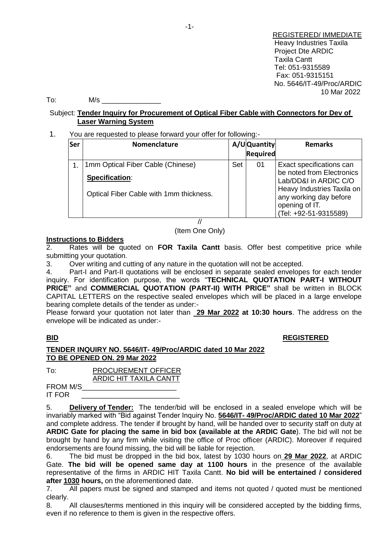REGISTERED/ IMMEDIATE Heavy Industries Taxila Project Dte ARDIC Taxila Cantt Tel: 051-9315589 Fax: 051-9315151 No. 5646/IT-49/Proc/ARDIC 10 Mar 2022

To: M/s \_\_\_\_\_\_\_\_\_\_\_\_\_\_\_

# Subject: **Tender Inquiry for Procurement of Optical Fiber Cable with Connectors for Dev of Laser Warning System**

# 1. You are requested to please forward your offer for following:-

| Ser            | <b>Nomenclature</b>                     |     | A/UQuantity<br><b>Required</b> | <b>Remarks</b>                                                                                  |
|----------------|-----------------------------------------|-----|--------------------------------|-------------------------------------------------------------------------------------------------|
| $\mathbf{1}$ . | 1mm Optical Fiber Cable (Chinese)       | Set | 01                             | Exact specifications can                                                                        |
|                | Specification:                          |     |                                | be noted from Electronics<br>Lab/DD&I in ARDIC C/O                                              |
|                | Optical Fiber Cable with 1mm thickness. |     |                                | Heavy Industries Taxila on<br>any working day before<br>opening of IT.<br>(Tel: +92-51-9315589) |

// (Item One Only)

# **Instructions to Bidders**

2. Rates will be quoted on **FOR Taxila Cantt** basis. Offer best competitive price while submitting your quotation.

3. Over writing and cutting of any nature in the quotation will not be accepted.

4. Part-I and Part-II quotations will be enclosed in separate sealed envelopes for each tender inquiry. For identification purpose, the words "**TECHNICAL QUOTATION PART-I WITHOUT PRICE"** and **COMMERCIAL QUOTATION (PART-II) WITH PRICE"** shall be written in BLOCK CAPITAL LETTERS on the respective sealed envelopes which will be placed in a large envelope bearing complete details of the tender as under:-

Please forward your quotation not later than **29 Mar 2022 at 10:30 hours**. The address on the envelope will be indicated as under:-

### **BID REGISTERED**

# **TENDER INQUIRY NO. 5646/IT- 49/Proc/ARDIC dated 10 Mar 2022 TO BE OPENED ON. 29 Mar 2022**

| To: | <b>PROCUREMENT OFFICER</b> |  |  |  |
|-----|----------------------------|--|--|--|
|     | ARDIC HIT TAXILA CANTT     |  |  |  |

FROM M/S\_\_\_\_\_\_\_\_\_\_\_\_\_\_\_\_\_\_\_\_\_\_\_\_ IT FOR

5. **Delivery of Tender:** The tender/bid will be enclosed in a sealed envelope which will be invariably marked with "Bid against Tender Inquiry No. **5646/IT- 49/Proc/ARDIC dated 10 Mar 2022**" and complete address. The tender if brought by hand, will be handed over to security staff on duty at **ARDIC Gate for placing the same in bid box (available at the ARDIC Gate**). The bid will not be brought by hand by any firm while visiting the office of Proc officer (ARDIC). Moreover if required endorsements are found missing, the bid will be liable for rejection.

6. The bid must be dropped in the bid box, latest by 1030 hours on **29 Mar 2022**, at ARDIC Gate. **The bid will be opened same day at 1100 hours** in the presence of the available representative of the firms in ARDIC HIT Taxila Cantt. **No bid will be entertained / considered after 1030 hours,** on the aforementioned date.

7. All papers must be signed and stamped and items not quoted / quoted must be mentioned clearly.

8. All clauses/terms mentioned in this inquiry will be considered accepted by the bidding firms, even if no reference to them is given in the respective offers.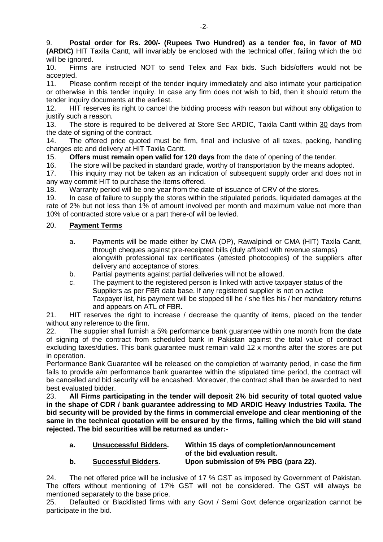9. **Postal order for Rs. 200/- (Rupees Two Hundred) as a tender fee, in favor of MD (ARDIC)** HIT Taxila Cantt, will invariably be enclosed with the technical offer, failing which the bid will be ignored.

10. Firms are instructed NOT to send Telex and Fax bids. Such bids/offers would not be accepted.

11. Please confirm receipt of the tender inquiry immediately and also intimate your participation or otherwise in this tender inquiry. In case any firm does not wish to bid, then it should return the tender inquiry documents at the earliest.

12. HIT reserves its right to cancel the bidding process with reason but without any obligation to justify such a reason.

13. The store is required to be delivered at Store Sec ARDIC, Taxila Cantt within 30 days from the date of signing of the contract.

14. The offered price quoted must be firm, final and inclusive of all taxes, packing, handling charges etc and delivery at HIT Taxila Cantt.

15. **Offers must remain open valid for 120 days** from the date of opening of the tender.

16. The store will be packed in standard grade, worthy of transportation by the means adopted.

17. This inquiry may not be taken as an indication of subsequent supply order and does not in any way commit HIT to purchase the items offered.

18. Warranty period will be one year from the date of issuance of CRV of the stores.

19. In case of failure to supply the stores within the stipulated periods, liquidated damages at the rate of 2% but not less than 1% of amount involved per month and maximum value not more than 10% of contracted store value or a part there-of will be levied.

# 20. **Payment Terms**

- a. Payments will be made either by CMA (DP), Rawalpindi or CMA (HIT) Taxila Cantt, through cheques against pre-receipted bills (duly affixed with revenue stamps) alongwith professional tax certificates (attested photocopies) of the suppliers after delivery and acceptance of stores.
- b. Partial payments against partial deliveries will not be allowed.
- c. The payment to the registered person is linked with active taxpayer status of the Suppliers as per FBR data base. If any registered supplier is not on active Taxpayer list, his payment will be stopped till he / she files his / her mandatory returns and appears on ATL of FBR.

21. HIT reserves the right to increase / decrease the quantity of items, placed on the tender without any reference to the firm.

22. The supplier shall furnish a 5% performance bank guarantee within one month from the date of signing of the contract from scheduled bank in Pakistan against the total value of contract excluding taxes/duties. This bank guarantee must remain valid 12 x months after the stores are put in operation.

Performance Bank Guarantee will be released on the completion of warranty period, in case the firm fails to provide a/m performance bank quarantee within the stipulated time period, the contract will be cancelled and bid security will be encashed. Moreover, the contract shall than be awarded to next best evaluated bidder.

23. **All Firms participating in the tender will deposit 2% bid security of total quoted value in the shape of CDR / bank guarantee addressing to MD ARDIC Heavy Industries Taxila. The bid security will be provided by the firms in commercial envelope and clear mentioning of the same in the technical quotation will be ensured by the firms, failing which the bid will stand rejected. The bid securities will be returned as under:-**

| а. | Unsuccessful Bidders.      | Within 15 days of completion/announcement |  |  |
|----|----------------------------|-------------------------------------------|--|--|
|    |                            | of the bid evaluation result.             |  |  |
| b. | <b>Successful Bidders.</b> | Upon submission of 5% PBG (para 22).      |  |  |

24. The net offered price will be inclusive of 17 % GST as imposed by Government of Pakistan. The offers without mentioning of 17% GST will not be considered. The GST will always be mentioned separately to the base price.

25. Defaulted or Blacklisted firms with any Govt / Semi Govt defence organization cannot be participate in the bid.